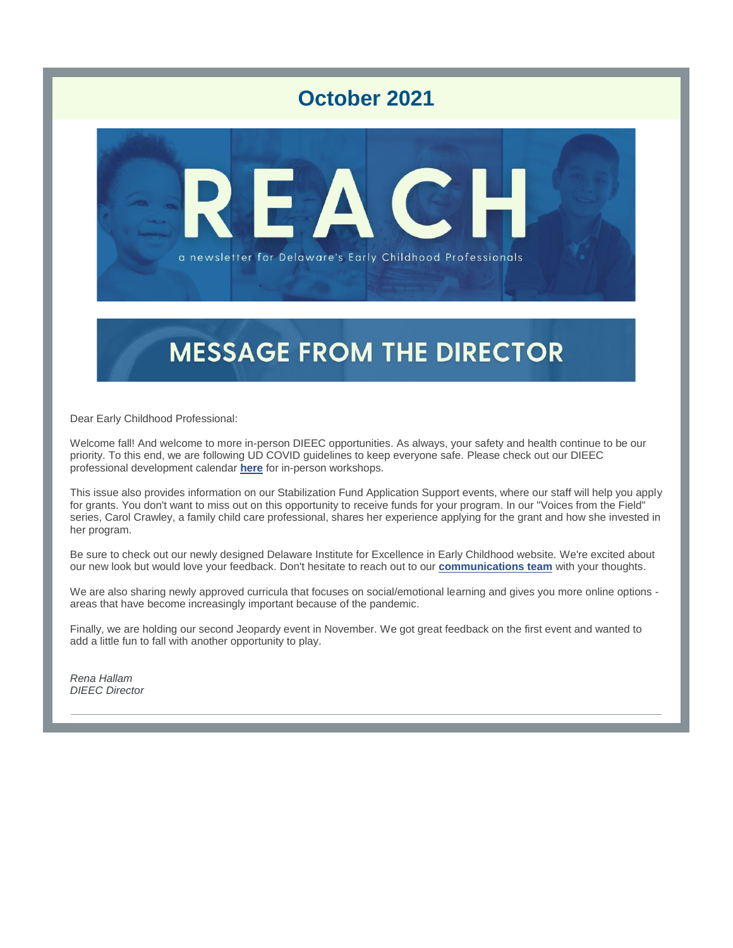# **October 2021**



# **MESSAGE FROM THE DIRECTOR**

Dear Early Childhood Professional:

Welcome fall! And welcome to more in-person DIEEC opportunities. As always, your safety and health continue to be our priority. To this end, we are following UD COVID guidelines to keep everyone safe. Please check out our DIEEC professional development calendar **[here](https://r20.rs6.net/tn.jsp?f=001BenEhGdEozLJSinVsiPh8aRvhm5O-6uCMUkr6smZLF_AtiH5x1YhT3iKHpW1FogPCaB3CRw9EdEWAlJ9MO8DukZ024yUqMHHZ4WCBVD-lVNkGXu3h_LPFtEN88HXSn6V7JfbhWlbraliwwYaJGopnJ-vMG_Gv2D10_mwqjRTVl0=&c=NqCHavKk7e6XbLRts2ZPhR60X8s55c66uM9vbfYOuxdbKeMkBgl0mA==&ch=-apX9WSuRs6LuioCbHIDdd2G3JvYs3sCVF8k3xWtmWS6k8E1B5IPsA==)** for in-person workshops.

This issue also provides information on our Stabilization Fund Application Support events, where our staff will help you apply for grants. You don't want to miss out on this opportunity to receive funds for your program. In our "Voices from the Field" series, Carol Crawley, a family child care professional, shares her experience applying for the grant and how she invested in her program.

Be sure to check out our newly designed Delaware Institute for Excellence in Early Childhood website. We're excited about our new look but would love your feedback. Don't hesitate to reach out to our **[communications team](mailto:linnord@udel.edu)** with your thoughts.

We are also sharing newly approved curricula that focuses on social/emotional learning and gives you more online options areas that have become increasingly important because of the pandemic.

Finally, we are holding our second Jeopardy event in November. We got great feedback on the first event and wanted to add a little fun to fall with another opportunity to play.

*Rena Hallam DIEEC Director*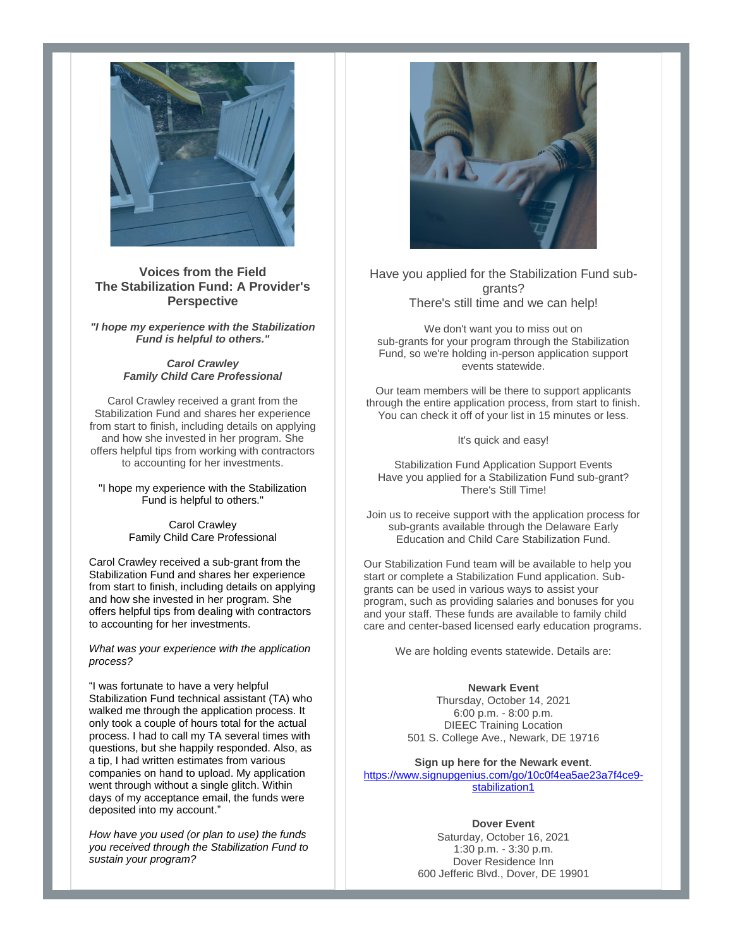

## **Voices from the Field The Stabilization Fund: A Provider's Perspective**

*"I hope my experience with the Stabilization Fund is helpful to others."*

> *Carol Crawley Family Child Care Professional*

Carol Crawley received a grant from the Stabilization Fund and shares her experience from start to finish, including details on applying and how she invested in her program. She offers helpful tips from working with contractors to accounting for her investments.

"I hope my experience with the Stabilization Fund is helpful to others."

> Carol Crawley Family Child Care Professional

Carol Crawley received a sub-grant from the Stabilization Fund and shares her experience from start to finish, including details on applying and how she invested in her program. She offers helpful tips from dealing with contractors to accounting for her investments.

*What was your experience with the application process?*

"I was fortunate to have a very helpful Stabilization Fund technical assistant (TA) who walked me through the application process. It only took a couple of hours total for the actual process. I had to call my TA several times with questions, but she happily responded. Also, as a tip, I had written estimates from various companies on hand to upload. My application went through without a single glitch. Within days of my acceptance email, the funds were deposited into my account."

*How have you used (or plan to use) the funds you received through the Stabilization Fund to sustain your program?*



Have you applied for the Stabilization Fund subgrants? There's still time and we can help!

We don't want you to miss out on sub-grants for your program through the Stabilization Fund, so we're holding in-person application support events statewide.

Our team members will be there to support applicants through the entire application process, from start to finish. You can check it off of your list in 15 minutes or less.

It's quick and easy!

Stabilization Fund Application Support Events Have you applied for a Stabilization Fund sub-grant? There's Still Time!

Join us to receive support with the application process for sub-grants available through the Delaware Early Education and Child Care Stabilization Fund.

Our Stabilization Fund team will be available to help you start or complete a Stabilization Fund application. Subgrants can be used in various ways to assist your program, such as providing salaries and bonuses for you and your staff. These funds are available to family child care and center-based licensed early education programs.

We are holding events statewide. Details are:

# **Newark Event**

Thursday, October 14, 2021 6:00 p.m. - 8:00 p.m. DIEEC Training Location 501 S. College Ave., Newark, DE 19716

**Sign up here for the Newark event**.

[https://www.signupgenius.com/go/10c0f4ea5ae23a7f4ce9](https://www.signupgenius.com/go/10c0f4ea5ae23a7f4ce9-stabilization1) [stabilization1](https://www.signupgenius.com/go/10c0f4ea5ae23a7f4ce9-stabilization1)

#### **Dover Event**

Saturday, October 16, 2021 1:30 p.m. - 3:30 p.m. Dover Residence Inn 600 Jefferic Blvd., Dover, DE 19901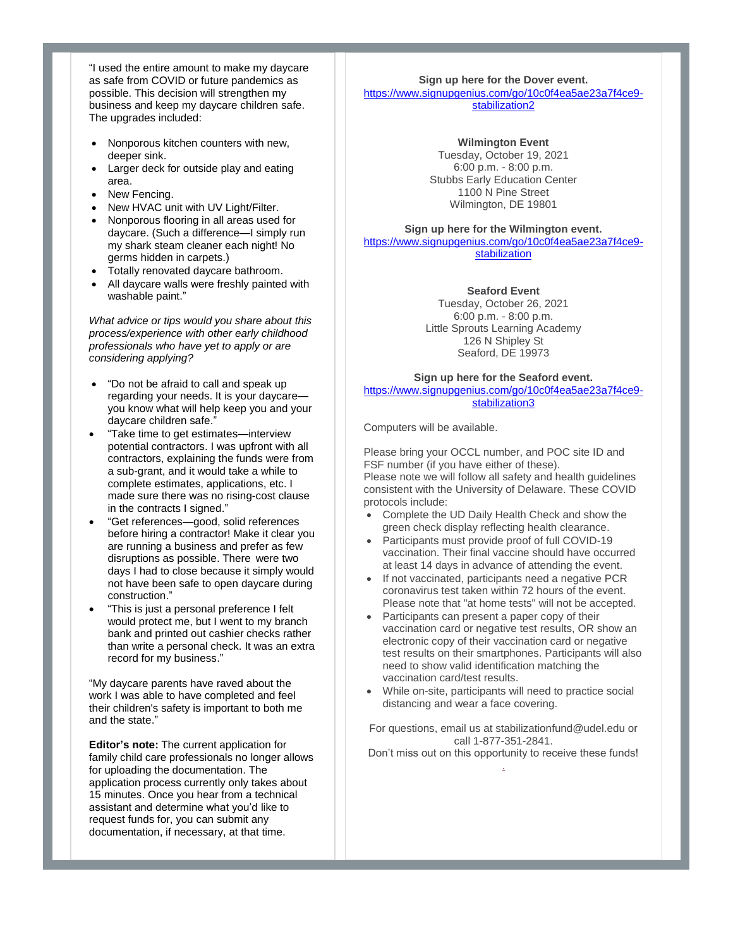"I used the entire amount to make my daycare as safe from COVID or future pandemics as possible. This decision will strengthen my business and keep my daycare children safe. The upgrades included:

- Nonporous kitchen counters with new, deeper sink.
- Larger deck for outside play and eating area.
- New Fencing.
- New HVAC unit with UV Light/Filter.
- Nonporous flooring in all areas used for daycare. (Such a difference—I simply run my shark steam cleaner each night! No germs hidden in carpets.)
- Totally renovated daycare bathroom.
- All daycare walls were freshly painted with washable paint."

*What advice or tips would you share about this process/experience with other early childhood professionals who have yet to apply or are considering applying?*

- "Do not be afraid to call and speak up regarding your needs. It is your daycare you know what will help keep you and your daycare children safe."
- "Take time to get estimates—interview potential contractors. I was upfront with all contractors, explaining the funds were from a sub-grant, and it would take a while to complete estimates, applications, etc. I made sure there was no rising-cost clause in the contracts I signed."
- "Get references—good, solid references before hiring a contractor! Make it clear you are running a business and prefer as few disruptions as possible. There were two days I had to close because it simply would not have been safe to open daycare during construction."
- "This is just a personal preference I felt would protect me, but I went to my branch bank and printed out cashier checks rather than write a personal check. It was an extra record for my business."

"My daycare parents have raved about the work I was able to have completed and feel their children's safety is important to both me and the state."

**Editor's note:** The current application for family child care professionals no longer allows for uploading the documentation. The application process currently only takes about 15 minutes. Once you hear from a technical assistant and determine what you'd like to request funds for, you can submit any documentation, if necessary, at that time.

#### **Sign up here for the Dover event.** [https://www.signupgenius.com/go/10c0f4ea5ae23a7f4ce9](https://www.signupgenius.com/go/10c0f4ea5ae23a7f4ce9-stabilization2) stabilization<sub>2</sub>

#### **Wilmington Event**

Tuesday, October 19, 2021 6:00 p.m. - 8:00 p.m. Stubbs Early Education Center 1100 N Pine Street Wilmington, DE 19801

## **Sign up here for the Wilmington event.**  [https://www.signupgenius.com/go/10c0f4ea5ae23a7f4ce9-](https://www.signupgenius.com/go/10c0f4ea5ae23a7f4ce9-stabilization)

[stabilization](https://www.signupgenius.com/go/10c0f4ea5ae23a7f4ce9-stabilization)

#### **Seaford Event**

Tuesday, October 26, 2021 6:00 p.m. - 8:00 p.m. Little Sprouts Learning Academy 126 N Shipley St Seaford, DE 19973

#### **Sign up here for the Seaford event.**  [https://www.signupgenius.com/go/10c0f4ea5ae23a7f4ce9](https://www.signupgenius.com/go/10c0f4ea5ae23a7f4ce9-stabilization3) [stabilization3](https://www.signupgenius.com/go/10c0f4ea5ae23a7f4ce9-stabilization3)

Computers will be available.

Please bring your OCCL number, and POC site ID and FSF number (if you have either of these). Please note we will follow all safety and health guidelines consistent with the University of Delaware. These COVID protocols include:

- Complete the UD Daily Health Check and show the green check display reflecting health clearance.
- Participants must provide proof of full COVID-19 vaccination. Their final vaccine should have occurred at least 14 days in advance of attending the event.
- If not vaccinated, participants need a negative PCR coronavirus test taken within 72 hours of the event. Please note that "at home tests" will not be accepted.
- Participants can present a paper copy of their vaccination card or negative test results, OR show an electronic copy of their vaccination card or negative test results on their smartphones. Participants will also need to show valid identification matching the vaccination card/test results.
- While on-site, participants will need to practice social distancing and wear a face covering.

For questions, email us at stabilizationfund@udel.edu or call 1-877-351-2841.

Don't miss out on this opportunity to receive these funds! [.](https://r20.rs6.net/tn.jsp?f=001BenEhGdEozLJSinVsiPh8aRvhm5O-6uCMUkr6smZLF_AtiH5x1YhT8nj9gawPHrjQ3QPcHWnWPUfjLCzZ3vleG8Pa-Qj2p2O42mjEo77Fa_wh83LWz-37l69q61HWVAuu-IFd5qQ4y3KKG0Zk0RXLZm2WAPMb9LPY3wXdwPi-tJlhkMAtNxahDoxNjjTn2JwGb4UMGw3Enh8CNgWLCsVE2JEC8_efUNr3r7zPT_s_FY=&c=NqCHavKk7e6XbLRts2ZPhR60X8s55c66uM9vbfYOuxdbKeMkBgl0mA==&ch=-apX9WSuRs6LuioCbHIDdd2G3JvYs3sCVF8k3xWtmWS6k8E1B5IPsA==)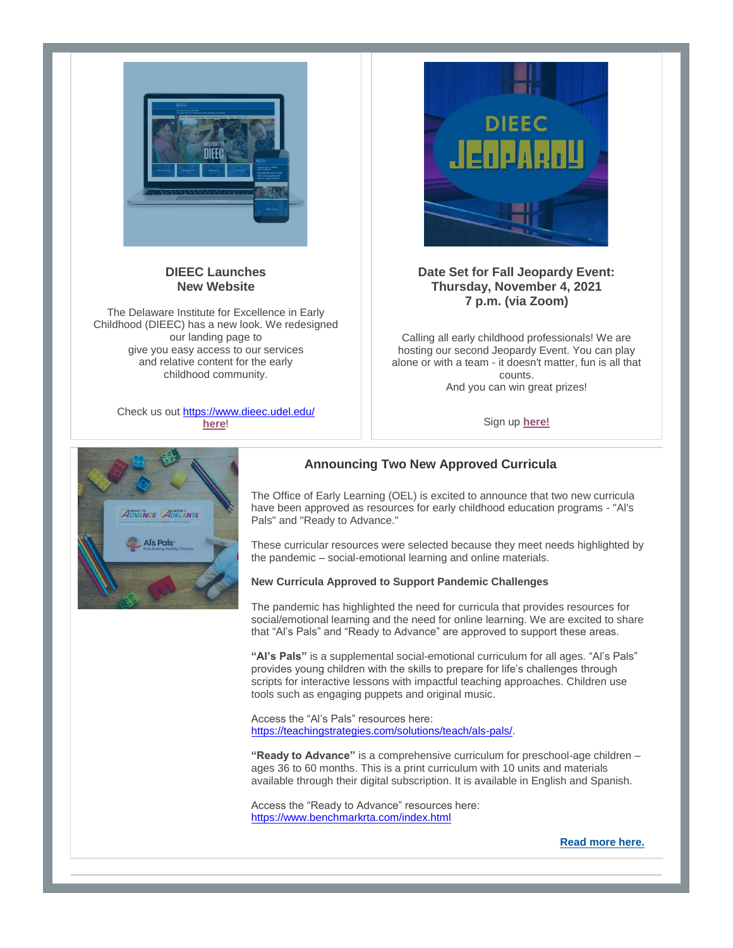

## **DIEEC Launches New Website**

The Delaware Institute for Excellence in Early Childhood (DIEEC) has a new look. We redesigned our landing page to give you easy access to our services and relative content for the early childhood community.

Check us out<https://www.dieec.udel.edu/> **[here](https://r20.rs6.net/tn.jsp?f=001BenEhGdEozLJSinVsiPh8aRvhm5O-6uCMUkr6smZLF_AtiH5x1YhTwTQekZKKdjyDjA_nMlaHlsRlAHkI8JVcrqCSbA8JRBfwcpxEG78Jw-Ul4rs1WRnnn6JPUqdsE3QhGr4_9h-phRGkG81jH-bqg==&c=NqCHavKk7e6XbLRts2ZPhR60X8s55c66uM9vbfYOuxdbKeMkBgl0mA==&ch=-apX9WSuRs6LuioCbHIDdd2G3JvYs3sCVF8k3xWtmWS6k8E1B5IPsA==)**!



# **Date Set for Fall Jeopardy Event: Thursday, November 4, 2021 7 p.m. (via Zoom)**

Calling all early childhood professionals! We are hosting our second Jeopardy Event. You can play alone or with a team - it doesn't matter, fun is all that counts. And you can win great prizes!

Sign up **[here!](https://r20.rs6.net/tn.jsp?f=001BenEhGdEozLJSinVsiPh8aRvhm5O-6uCMUkr6smZLF_AtiH5x1YhT8nj9gawPHrjBQDp434mvaE1C87xcJhoiVKSEDVC64DTqLJhAZrDpjrKcKaLmMaP18GgSpPb4HmOvZ9Rq99eyw0xjWuoEyTZH0EQs4p95-6NnOpYCDKiXXBYXd9yejdcPhUJcO-BolWfbc3D_RoJtqG3LLADCucSjhZHavuXYk-S_dSwit_iBSA=&c=NqCHavKk7e6XbLRts2ZPhR60X8s55c66uM9vbfYOuxdbKeMkBgl0mA==&ch=-apX9WSuRs6LuioCbHIDdd2G3JvYs3sCVF8k3xWtmWS6k8E1B5IPsA==)**



# **Announcing Two New Approved Curricula**

The Office of Early Learning (OEL) is excited to announce that two new curricula have been approved as resources for early childhood education programs - "Al's Pals" and "Ready to Advance."

These curricular resources were selected because they meet needs highlighted by the pandemic – social-emotional learning and online materials.

#### **New Curricula Approved to Support Pandemic Challenges**

The pandemic has highlighted the need for curricula that provides resources for social/emotional learning and the need for online learning. We are excited to share that "Al's Pals" and "Ready to Advance" are approved to support these areas.

**"Al's Pals"** is a supplemental social-emotional curriculum for all ages. "Al's Pals" provides young children with the skills to prepare for life's challenges through scripts for interactive lessons with impactful teaching approaches. Children use tools such as engaging puppets and original music.

Access the "Al's Pals" resources here: [https://teachingstrategies.com/solutions/teach/als-pals/.](https://teachingstrategies.com/solutions/teach/als-pals/)

**"Ready to Advance"** is a comprehensive curriculum for preschool-age children – ages 36 to 60 months. This is a print curriculum with 10 units and materials available through their digital subscription. It is available in English and Spanish.

Access the "Ready to Advance" resources here: <https://www.benchmarkrta.com/index.html>

**[Read more here.](https://r20.rs6.net/tn.jsp?f=001BenEhGdEozLJSinVsiPh8aRvhm5O-6uCMUkr6smZLF_AtiH5x1YhT8nj9gawPHrjIde1c-jB8FJ10TbdKfgoLBxfeZxx8ae0khBgi5YLBAhY7onYgz9KNgqUGF43gM0SHuIJ2av4jnrI4MlMnUoCVuQgV6pFFbo-KsWE5G8FK8JGg0YaPI1RPpsa9IUs2NFQ6SYCDGBFLn3R91VlUl2F8SsYCa73r7zvWuo9lnycgzM=&c=NqCHavKk7e6XbLRts2ZPhR60X8s55c66uM9vbfYOuxdbKeMkBgl0mA==&ch=-apX9WSuRs6LuioCbHIDdd2G3JvYs3sCVF8k3xWtmWS6k8E1B5IPsA==)**